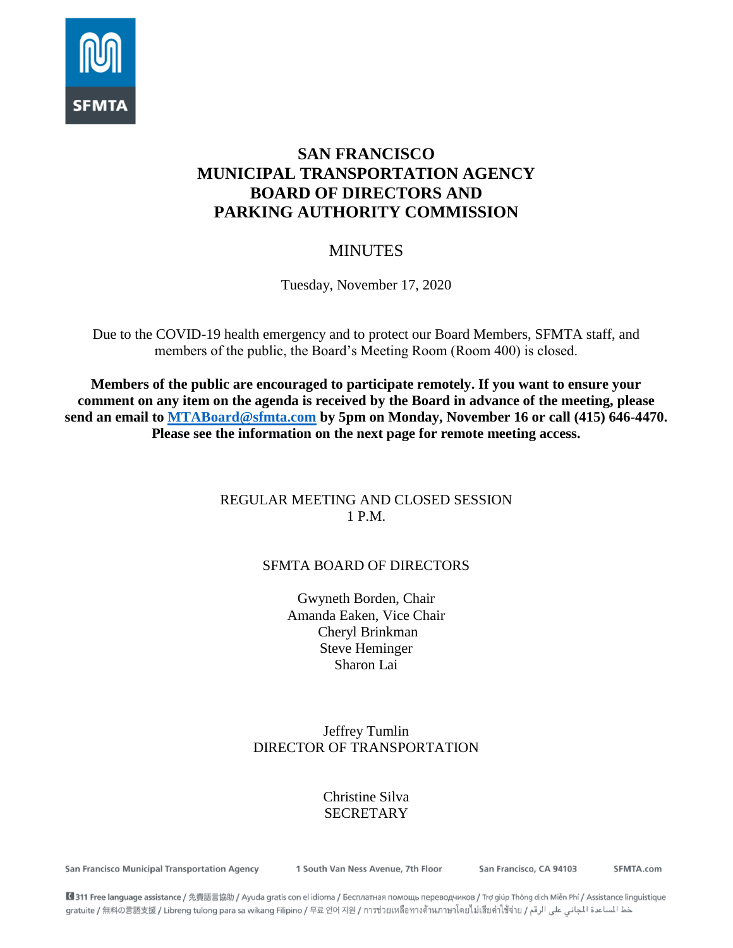

# **SAN FRANCISCO MUNICIPAL TRANSPORTATION AGENCY BOARD OF DIRECTORS AND PARKING AUTHORITY COMMISSION**

# MINUTES

Tuesday, November 17, 2020

Due to the COVID-19 health emergency and to protect our Board Members, SFMTA staff, and members of the public, the Board's Meeting Room (Room 400) is closed.

**Members of the public are encouraged to participate remotely. If you want to ensure your comment on any item on the agenda is received by the Board in advance of the meeting, please send an email to [MTABoard@sfmta.com](mailto:MTABoard@sfmta.com) by 5pm on Monday, November 16 or call (415) 646-4470. Please see the information on the next page for remote meeting access.** 

# REGULAR MEETING AND CLOSED SESSION 1 P.M.

# SFMTA BOARD OF DIRECTORS

Gwyneth Borden, Chair Amanda Eaken, Vice Chair Cheryl Brinkman Steve Heminger Sharon Lai

# Jeffrey Tumlin DIRECTOR OF TRANSPORTATION

# Christine Silva **SECRETARY**

San Francisco Municipal Transportation Agency

1 South Van Ness Avenue, 7th Floor

San Francisco, CA 94103

SFMTA.com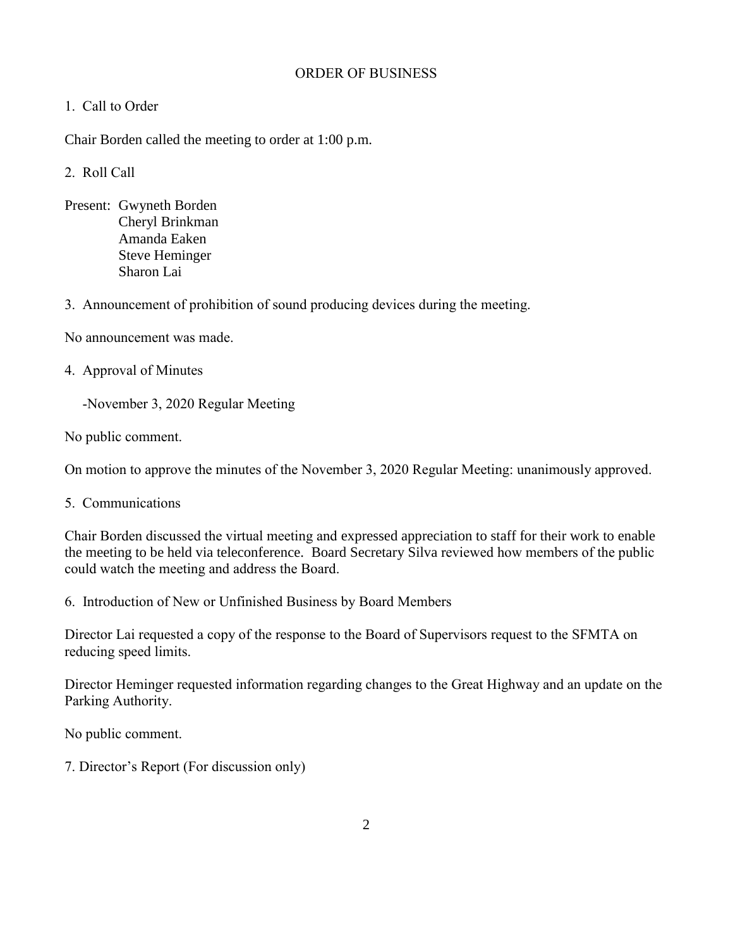## ORDER OF BUSINESS

## 1. Call to Order

Chair Borden called the meeting to order at 1:00 p.m.

## 2. Roll Call

Present: Gwyneth Borden Cheryl Brinkman Amanda Eaken Steve Heminger Sharon Lai

3. Announcement of prohibition of sound producing devices during the meeting.

No announcement was made.

4. Approval of Minutes

-November 3, 2020 Regular Meeting

No public comment.

On motion to approve the minutes of the November 3, 2020 Regular Meeting: unanimously approved.

5. Communications

Chair Borden discussed the virtual meeting and expressed appreciation to staff for their work to enable the meeting to be held via teleconference. Board Secretary Silva reviewed how members of the public could watch the meeting and address the Board.

6. Introduction of New or Unfinished Business by Board Members

Director Lai requested a copy of the response to the Board of Supervisors request to the SFMTA on reducing speed limits.

Director Heminger requested information regarding changes to the Great Highway and an update on the Parking Authority.

No public comment.

7. Director's Report (For discussion only)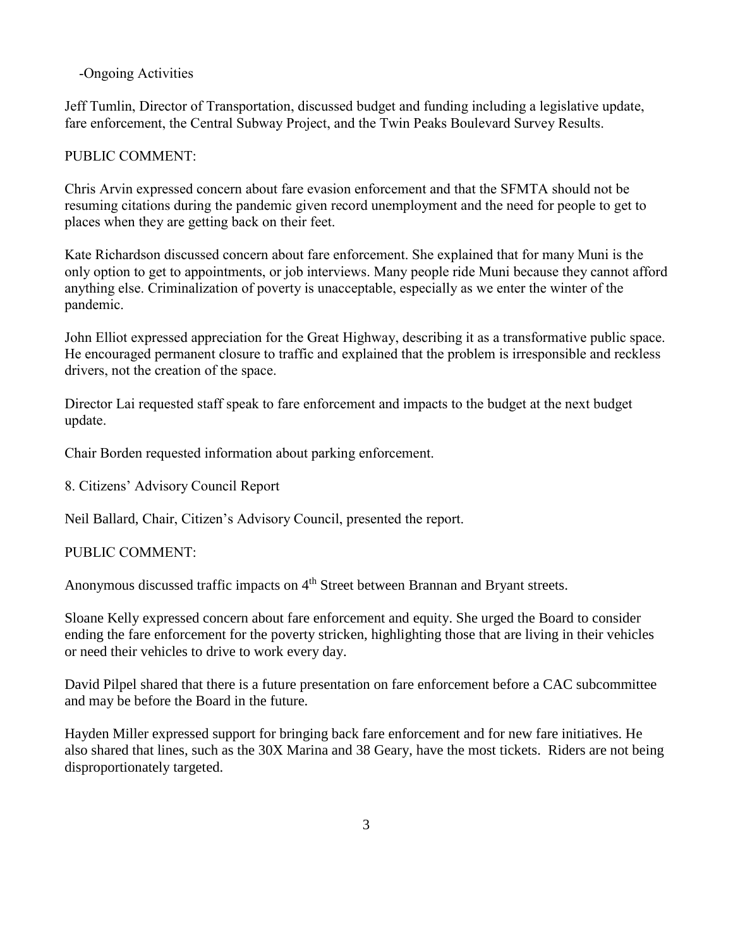### -Ongoing Activities

Jeff Tumlin, Director of Transportation, discussed budget and funding including a legislative update, fare enforcement, the Central Subway Project, and the Twin Peaks Boulevard Survey Results.

#### PUBLIC COMMENT:

Chris Arvin expressed concern about fare evasion enforcement and that the SFMTA should not be resuming citations during the pandemic given record unemployment and the need for people to get to places when they are getting back on their feet.

Kate Richardson discussed concern about fare enforcement. She explained that for many Muni is the only option to get to appointments, or job interviews. Many people ride Muni because they cannot afford anything else. Criminalization of poverty is unacceptable, especially as we enter the winter of the pandemic.

John Elliot expressed appreciation for the Great Highway, describing it as a transformative public space. He encouraged permanent closure to traffic and explained that the problem is irresponsible and reckless drivers, not the creation of the space.

Director Lai requested staff speak to fare enforcement and impacts to the budget at the next budget update.

Chair Borden requested information about parking enforcement.

8. Citizens' Advisory Council Report

Neil Ballard, Chair, Citizen's Advisory Council, presented the report.

#### PUBLIC COMMENT:

Anonymous discussed traffic impacts on 4<sup>th</sup> Street between Brannan and Bryant streets.

Sloane Kelly expressed concern about fare enforcement and equity. She urged the Board to consider ending the fare enforcement for the poverty stricken, highlighting those that are living in their vehicles or need their vehicles to drive to work every day.

David Pilpel shared that there is a future presentation on fare enforcement before a CAC subcommittee and may be before the Board in the future.

Hayden Miller expressed support for bringing back fare enforcement and for new fare initiatives. He also shared that lines, such as the 30X Marina and 38 Geary, have the most tickets. Riders are not being disproportionately targeted.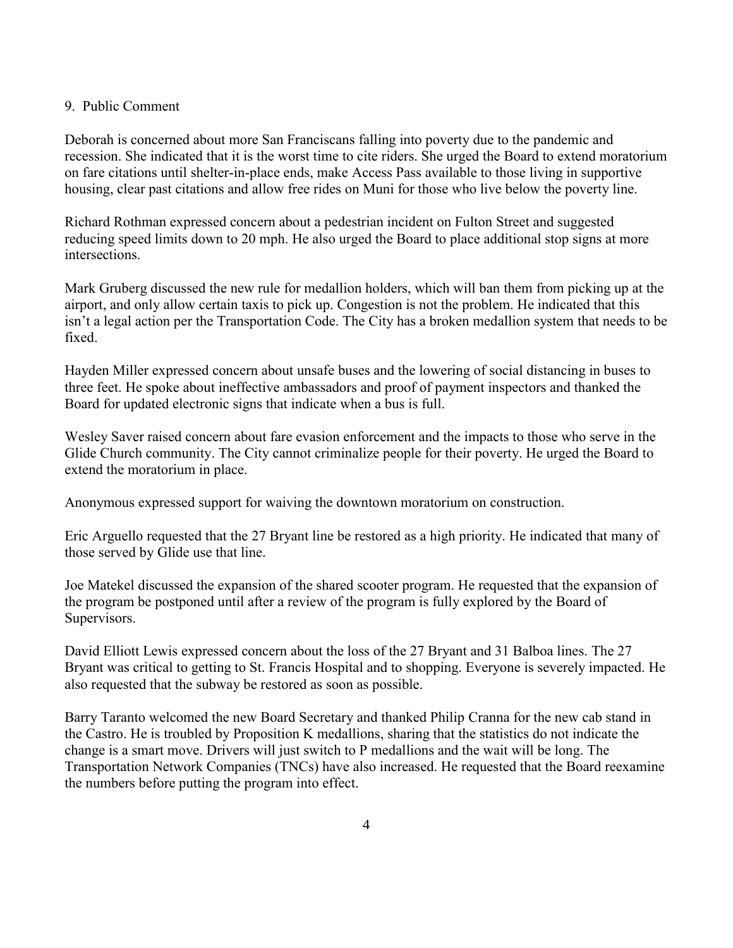#### 9. Public Comment

Deborah is concerned about more San Franciscans falling into poverty due to the pandemic and recession. She indicated that it is the worst time to cite riders. She urged the Board to extend moratorium on fare citations until shelter-in-place ends, make Access Pass available to those living in supportive housing, clear past citations and allow free rides on Muni for those who live below the poverty line.

Richard Rothman expressed concern about a pedestrian incident on Fulton Street and suggested reducing speed limits down to 20 mph. He also urged the Board to place additional stop signs at more intersections.

Mark Gruberg discussed the new rule for medallion holders, which will ban them from picking up at the airport, and only allow certain taxis to pick up. Congestion is not the problem. He indicated that this isn't a legal action per the Transportation Code. The City has a broken medallion system that needs to be fixed.

Hayden Miller expressed concern about unsafe buses and the lowering of social distancing in buses to three feet. He spoke about ineffective ambassadors and proof of payment inspectors and thanked the Board for updated electronic signs that indicate when a bus is full.

Wesley Saver raised concern about fare evasion enforcement and the impacts to those who serve in the Glide Church community. The City cannot criminalize people for their poverty. He urged the Board to extend the moratorium in place.

Anonymous expressed support for waiving the downtown moratorium on construction.

Eric Arguello requested that the 27 Bryant line be restored as a high priority. He indicated that many of those served by Glide use that line.

Joe Matekel discussed the expansion of the shared scooter program. He requested that the expansion of the program be postponed until after a review of the program is fully explored by the Board of Supervisors.

David Elliott Lewis expressed concern about the loss of the 27 Bryant and 31 Balboa lines. The 27 Bryant was critical to getting to St. Francis Hospital and to shopping. Everyone is severely impacted. He also requested that the subway be restored as soon as possible.

Barry Taranto welcomed the new Board Secretary and thanked Philip Cranna for the new cab stand in the Castro. He is troubled by Proposition K medallions, sharing that the statistics do not indicate the change is a smart move. Drivers will just switch to P medallions and the wait will be long. The Transportation Network Companies (TNCs) have also increased. He requested that the Board reexamine the numbers before putting the program into effect.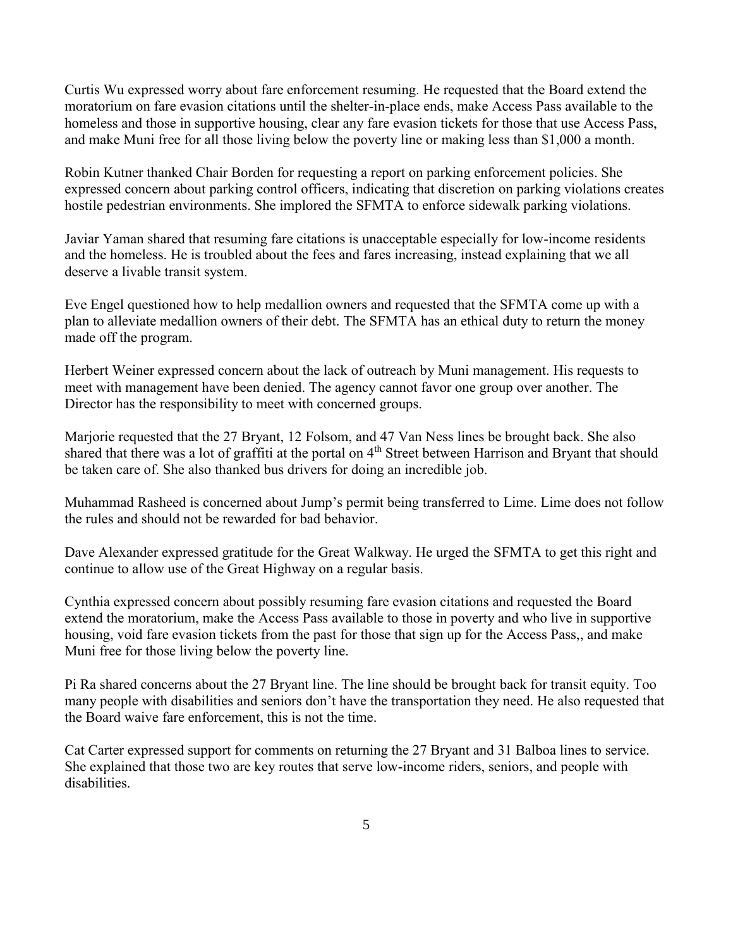Curtis Wu expressed worry about fare enforcement resuming. He requested that the Board extend the moratorium on fare evasion citations until the shelter-in-place ends, make Access Pass available to the homeless and those in supportive housing, clear any fare evasion tickets for those that use Access Pass, and make Muni free for all those living below the poverty line or making less than \$1,000 a month.

Robin Kutner thanked Chair Borden for requesting a report on parking enforcement policies. She expressed concern about parking control officers, indicating that discretion on parking violations creates hostile pedestrian environments. She implored the SFMTA to enforce sidewalk parking violations.

Javiar Yaman shared that resuming fare citations is unacceptable especially for low-income residents and the homeless. He is troubled about the fees and fares increasing, instead explaining that we all deserve a livable transit system.

Eve Engel questioned how to help medallion owners and requested that the SFMTA come up with a plan to alleviate medallion owners of their debt. The SFMTA has an ethical duty to return the money made off the program.

Herbert Weiner expressed concern about the lack of outreach by Muni management. His requests to meet with management have been denied. The agency cannot favor one group over another. The Director has the responsibility to meet with concerned groups.

Marjorie requested that the 27 Bryant, 12 Folsom, and 47 Van Ness lines be brought back. She also shared that there was a lot of graffiti at the portal on 4<sup>th</sup> Street between Harrison and Bryant that should be taken care of. She also thanked bus drivers for doing an incredible job.

Muhammad Rasheed is concerned about Jump's permit being transferred to Lime. Lime does not follow the rules and should not be rewarded for bad behavior.

Dave Alexander expressed gratitude for the Great Walkway. He urged the SFMTA to get this right and continue to allow use of the Great Highway on a regular basis.

Cynthia expressed concern about possibly resuming fare evasion citations and requested the Board extend the moratorium, make the Access Pass available to those in poverty and who live in supportive housing, void fare evasion tickets from the past for those that sign up for the Access Pass,, and make Muni free for those living below the poverty line.

Pi Ra shared concerns about the 27 Bryant line. The line should be brought back for transit equity. Too many people with disabilities and seniors don't have the transportation they need. He also requested that the Board waive fare enforcement, this is not the time.

Cat Carter expressed support for comments on returning the 27 Bryant and 31 Balboa lines to service. She explained that those two are key routes that serve low-income riders, seniors, and people with disabilities.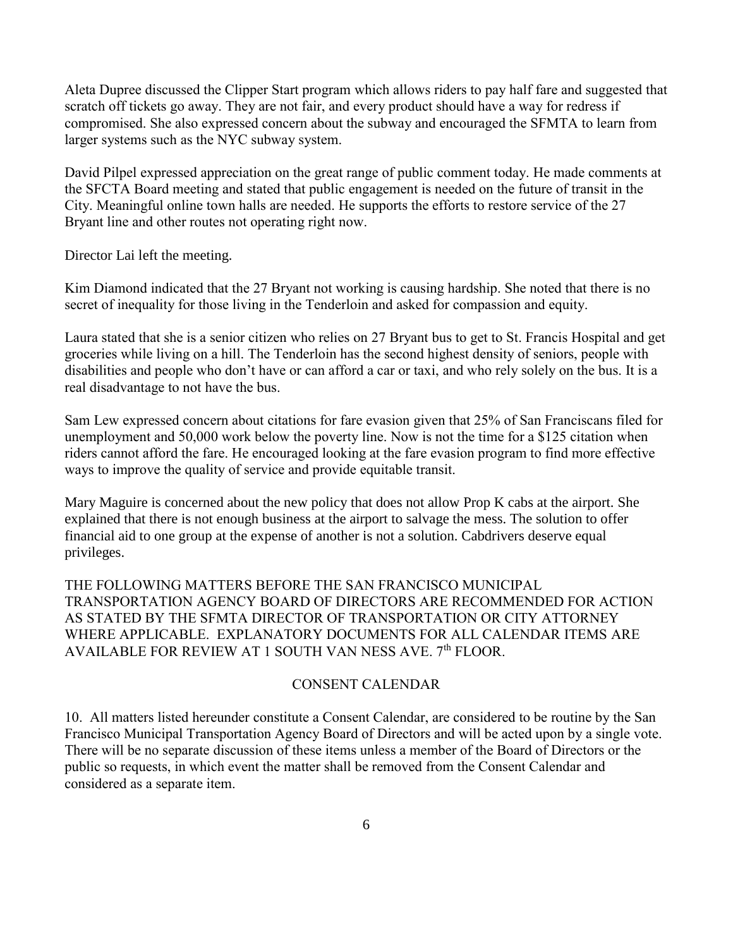Aleta Dupree discussed the Clipper Start program which allows riders to pay half fare and suggested that scratch off tickets go away. They are not fair, and every product should have a way for redress if compromised. She also expressed concern about the subway and encouraged the SFMTA to learn from larger systems such as the NYC subway system.

David Pilpel expressed appreciation on the great range of public comment today. He made comments at the SFCTA Board meeting and stated that public engagement is needed on the future of transit in the City. Meaningful online town halls are needed. He supports the efforts to restore service of the 27 Bryant line and other routes not operating right now.

Director Lai left the meeting.

Kim Diamond indicated that the 27 Bryant not working is causing hardship. She noted that there is no secret of inequality for those living in the Tenderloin and asked for compassion and equity.

Laura stated that she is a senior citizen who relies on 27 Bryant bus to get to St. Francis Hospital and get groceries while living on a hill. The Tenderloin has the second highest density of seniors, people with disabilities and people who don't have or can afford a car or taxi, and who rely solely on the bus. It is a real disadvantage to not have the bus.

Sam Lew expressed concern about citations for fare evasion given that 25% of San Franciscans filed for unemployment and 50,000 work below the poverty line. Now is not the time for a \$125 citation when riders cannot afford the fare. He encouraged looking at the fare evasion program to find more effective ways to improve the quality of service and provide equitable transit.

Mary Maguire is concerned about the new policy that does not allow Prop K cabs at the airport. She explained that there is not enough business at the airport to salvage the mess. The solution to offer financial aid to one group at the expense of another is not a solution. Cabdrivers deserve equal privileges.

THE FOLLOWING MATTERS BEFORE THE SAN FRANCISCO MUNICIPAL TRANSPORTATION AGENCY BOARD OF DIRECTORS ARE RECOMMENDED FOR ACTION AS STATED BY THE SFMTA DIRECTOR OF TRANSPORTATION OR CITY ATTORNEY WHERE APPLICABLE. EXPLANATORY DOCUMENTS FOR ALL CALENDAR ITEMS ARE AVAILABLE FOR REVIEW AT 1 SOUTH VAN NESS AVE. 7<sup>th</sup> FLOOR.

#### CONSENT CALENDAR

10. All matters listed hereunder constitute a Consent Calendar, are considered to be routine by the San Francisco Municipal Transportation Agency Board of Directors and will be acted upon by a single vote. There will be no separate discussion of these items unless a member of the Board of Directors or the public so requests, in which event the matter shall be removed from the Consent Calendar and considered as a separate item.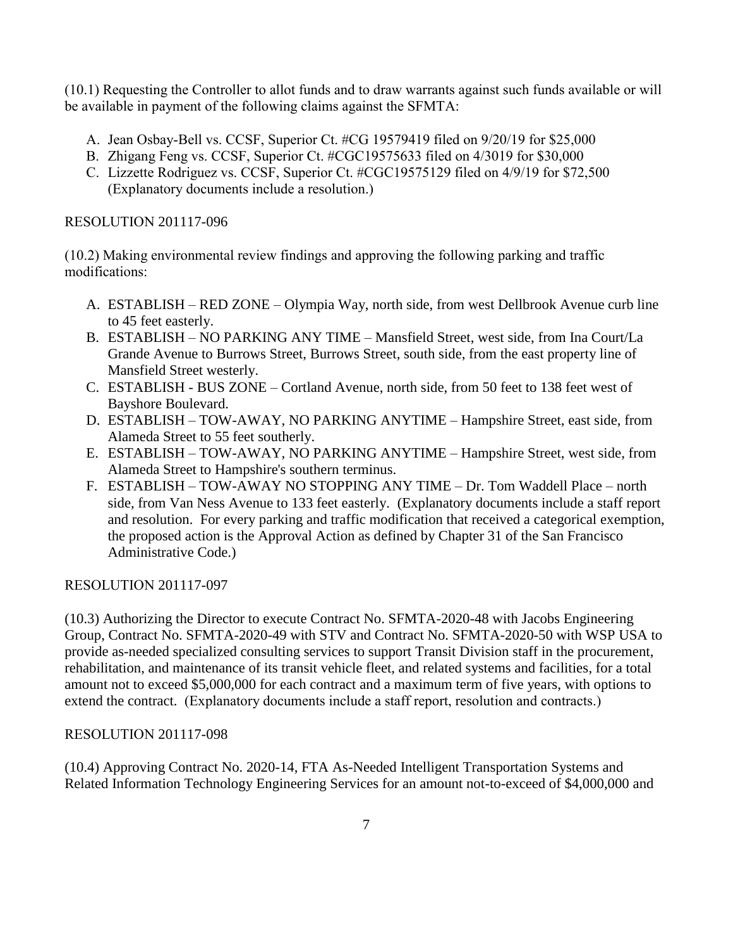(10.1) Requesting the Controller to allot funds and to draw warrants against such funds available or will be available in payment of the following claims against the SFMTA:

- A. Jean Osbay-Bell vs. CCSF, Superior Ct. #CG 19579419 filed on 9/20/19 for \$25,000
- B. Zhigang Feng vs. CCSF, Superior Ct. #CGC19575633 filed on 4/3019 for \$30,000
- C. Lizzette Rodriguez vs. CCSF, Superior Ct. #CGC19575129 filed on 4/9/19 for \$72,500 (Explanatory documents include a resolution.)

### RESOLUTION 201117-096

(10.2) Making environmental review findings and approving the following parking and traffic modifications:

- A. ESTABLISH RED ZONE Olympia Way, north side, from west Dellbrook Avenue curb line to 45 feet easterly.
- B. ESTABLISH NO PARKING ANY TIME Mansfield Street, west side, from Ina Court/La Grande Avenue to Burrows Street, Burrows Street, south side, from the east property line of Mansfield Street westerly.
- C. ESTABLISH BUS ZONE Cortland Avenue, north side, from 50 feet to 138 feet west of Bayshore Boulevard.
- D. ESTABLISH TOW-AWAY, NO PARKING ANYTIME Hampshire Street, east side, from Alameda Street to 55 feet southerly.
- E. ESTABLISH TOW-AWAY, NO PARKING ANYTIME Hampshire Street, west side, from Alameda Street to Hampshire's southern terminus.
- F. ESTABLISH TOW-AWAY NO STOPPING ANY TIME Dr. Tom Waddell Place north side, from Van Ness Avenue to 133 feet easterly. (Explanatory documents include a staff report and resolution. For every parking and traffic modification that received a categorical exemption, the proposed action is the Approval Action as defined by Chapter 31 of the San Francisco Administrative Code.)

### RESOLUTION 201117-097

(10.3) Authorizing the Director to execute Contract No. SFMTA-2020-48 with Jacobs Engineering Group, Contract No. SFMTA-2020-49 with STV and Contract No. SFMTA-2020-50 with WSP USA to provide as-needed specialized consulting services to support Transit Division staff in the procurement, rehabilitation, and maintenance of its transit vehicle fleet, and related systems and facilities, for a total amount not to exceed \$5,000,000 for each contract and a maximum term of five years, with options to extend the contract. (Explanatory documents include a staff report, resolution and contracts.)

### RESOLUTION 201117-098

(10.4) Approving Contract No. 2020-14, FTA As-Needed Intelligent Transportation Systems and Related Information Technology Engineering Services for an amount not-to-exceed of \$4,000,000 and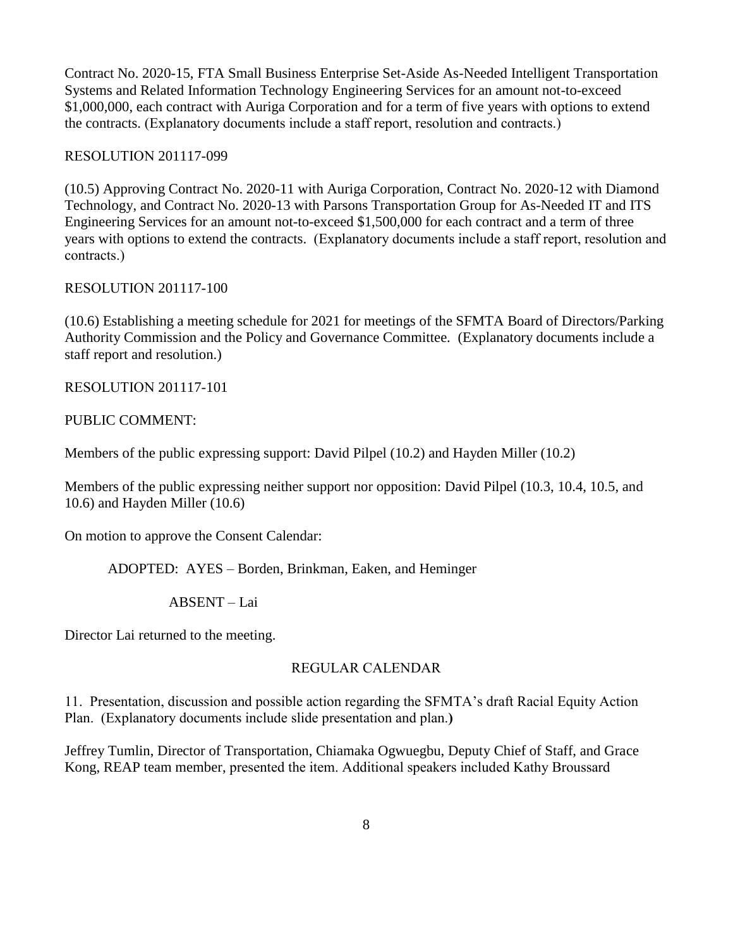Contract No. 2020-15, FTA Small Business Enterprise Set-Aside As-Needed Intelligent Transportation Systems and Related Information Technology Engineering Services for an amount not-to-exceed \$1,000,000, each contract with Auriga Corporation and for a term of five years with options to extend the contracts. (Explanatory documents include a staff report, resolution and contracts.)

#### RESOLUTION 201117-099

(10.5) Approving Contract No. 2020-11 with Auriga Corporation, Contract No. 2020-12 with Diamond Technology, and Contract No. 2020-13 with Parsons Transportation Group for As-Needed IT and ITS Engineering Services for an amount not-to-exceed \$1,500,000 for each contract and a term of three years with options to extend the contracts. (Explanatory documents include a staff report, resolution and contracts.)

#### RESOLUTION 201117-100

(10.6) Establishing a meeting schedule for 2021 for meetings of the SFMTA Board of Directors/Parking Authority Commission and the Policy and Governance Committee. (Explanatory documents include a staff report and resolution.)

RESOLUTION 201117-101

### PUBLIC COMMENT:

Members of the public expressing support: David Pilpel (10.2) and Hayden Miller (10.2)

Members of the public expressing neither support nor opposition: David Pilpel (10.3, 10.4, 10.5, and 10.6) and Hayden Miller (10.6)

On motion to approve the Consent Calendar:

ADOPTED: AYES – Borden, Brinkman, Eaken, and Heminger

ABSENT – Lai

Director Lai returned to the meeting.

### REGULAR CALENDAR

11. Presentation, discussion and possible action regarding the SFMTA's draft Racial Equity Action Plan. (Explanatory documents include slide presentation and plan.**)**

Jeffrey Tumlin, Director of Transportation, Chiamaka Ogwuegbu, Deputy Chief of Staff, and Grace Kong, REAP team member, presented the item. Additional speakers included Kathy Broussard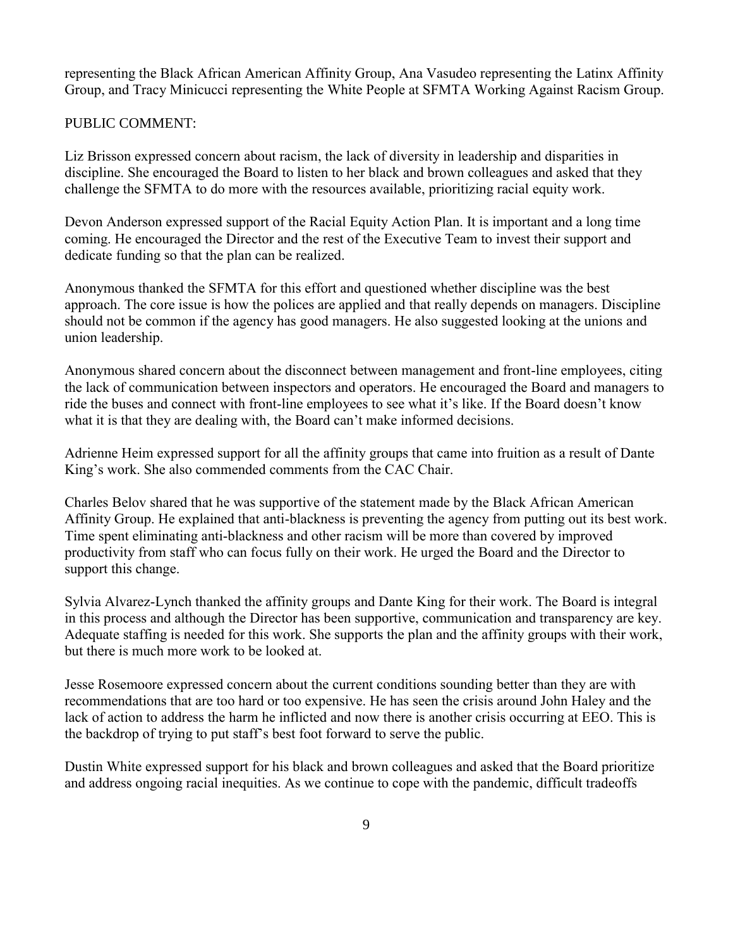representing the Black African American Affinity Group, Ana Vasudeo representing the Latinx Affinity Group, and Tracy Minicucci representing the White People at SFMTA Working Against Racism Group.

#### PUBLIC COMMENT:

Liz Brisson expressed concern about racism, the lack of diversity in leadership and disparities in discipline. She encouraged the Board to listen to her black and brown colleagues and asked that they challenge the SFMTA to do more with the resources available, prioritizing racial equity work.

Devon Anderson expressed support of the Racial Equity Action Plan. It is important and a long time coming. He encouraged the Director and the rest of the Executive Team to invest their support and dedicate funding so that the plan can be realized.

Anonymous thanked the SFMTA for this effort and questioned whether discipline was the best approach. The core issue is how the polices are applied and that really depends on managers. Discipline should not be common if the agency has good managers. He also suggested looking at the unions and union leadership.

Anonymous shared concern about the disconnect between management and front-line employees, citing the lack of communication between inspectors and operators. He encouraged the Board and managers to ride the buses and connect with front-line employees to see what it's like. If the Board doesn't know what it is that they are dealing with, the Board can't make informed decisions.

Adrienne Heim expressed support for all the affinity groups that came into fruition as a result of Dante King's work. She also commended comments from the CAC Chair.

Charles Belov shared that he was supportive of the statement made by the Black African American Affinity Group. He explained that anti-blackness is preventing the agency from putting out its best work. Time spent eliminating anti-blackness and other racism will be more than covered by improved productivity from staff who can focus fully on their work. He urged the Board and the Director to support this change.

Sylvia Alvarez-Lynch thanked the affinity groups and Dante King for their work. The Board is integral in this process and although the Director has been supportive, communication and transparency are key. Adequate staffing is needed for this work. She supports the plan and the affinity groups with their work, but there is much more work to be looked at.

Jesse Rosemoore expressed concern about the current conditions sounding better than they are with recommendations that are too hard or too expensive. He has seen the crisis around John Haley and the lack of action to address the harm he inflicted and now there is another crisis occurring at EEO. This is the backdrop of trying to put staff's best foot forward to serve the public.

Dustin White expressed support for his black and brown colleagues and asked that the Board prioritize and address ongoing racial inequities. As we continue to cope with the pandemic, difficult tradeoffs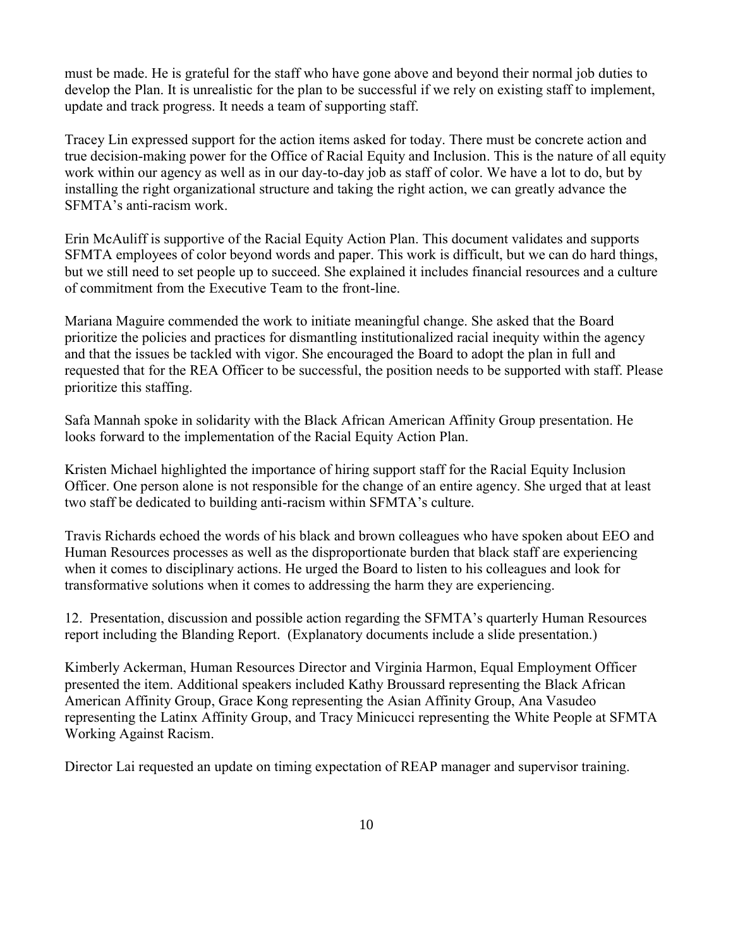must be made. He is grateful for the staff who have gone above and beyond their normal job duties to develop the Plan. It is unrealistic for the plan to be successful if we rely on existing staff to implement, update and track progress. It needs a team of supporting staff.

Tracey Lin expressed support for the action items asked for today. There must be concrete action and true decision-making power for the Office of Racial Equity and Inclusion. This is the nature of all equity work within our agency as well as in our day-to-day job as staff of color. We have a lot to do, but by installing the right organizational structure and taking the right action, we can greatly advance the SFMTA's anti-racism work.

Erin McAuliff is supportive of the Racial Equity Action Plan. This document validates and supports SFMTA employees of color beyond words and paper. This work is difficult, but we can do hard things, but we still need to set people up to succeed. She explained it includes financial resources and a culture of commitment from the Executive Team to the front-line.

Mariana Maguire commended the work to initiate meaningful change. She asked that the Board prioritize the policies and practices for dismantling institutionalized racial inequity within the agency and that the issues be tackled with vigor. She encouraged the Board to adopt the plan in full and requested that for the REA Officer to be successful, the position needs to be supported with staff. Please prioritize this staffing.

Safa Mannah spoke in solidarity with the Black African American Affinity Group presentation. He looks forward to the implementation of the Racial Equity Action Plan.

Kristen Michael highlighted the importance of hiring support staff for the Racial Equity Inclusion Officer. One person alone is not responsible for the change of an entire agency. She urged that at least two staff be dedicated to building anti-racism within SFMTA's culture.

Travis Richards echoed the words of his black and brown colleagues who have spoken about EEO and Human Resources processes as well as the disproportionate burden that black staff are experiencing when it comes to disciplinary actions. He urged the Board to listen to his colleagues and look for transformative solutions when it comes to addressing the harm they are experiencing.

12. Presentation, discussion and possible action regarding the SFMTA's quarterly Human Resources report including the Blanding Report. (Explanatory documents include a slide presentation.)

Kimberly Ackerman, Human Resources Director and Virginia Harmon, Equal Employment Officer presented the item. Additional speakers included Kathy Broussard representing the Black African American Affinity Group, Grace Kong representing the Asian Affinity Group, Ana Vasudeo representing the Latinx Affinity Group, and Tracy Minicucci representing the White People at SFMTA Working Against Racism.

Director Lai requested an update on timing expectation of REAP manager and supervisor training.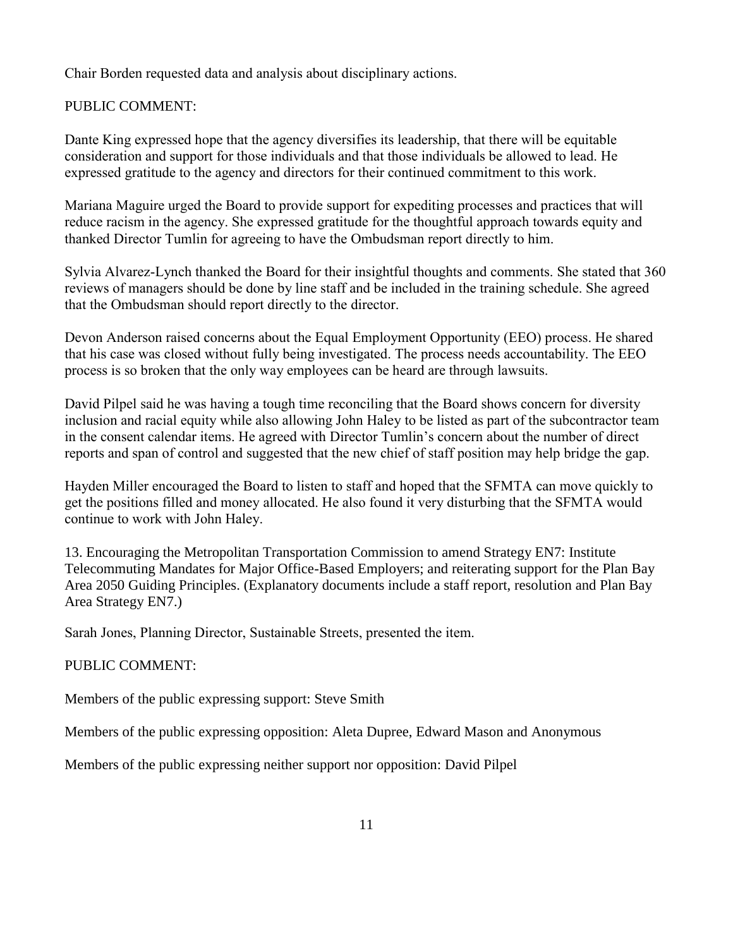Chair Borden requested data and analysis about disciplinary actions.

## PUBLIC COMMENT:

Dante King expressed hope that the agency diversifies its leadership, that there will be equitable consideration and support for those individuals and that those individuals be allowed to lead. He expressed gratitude to the agency and directors for their continued commitment to this work.

Mariana Maguire urged the Board to provide support for expediting processes and practices that will reduce racism in the agency. She expressed gratitude for the thoughtful approach towards equity and thanked Director Tumlin for agreeing to have the Ombudsman report directly to him.

Sylvia Alvarez-Lynch thanked the Board for their insightful thoughts and comments. She stated that 360 reviews of managers should be done by line staff and be included in the training schedule. She agreed that the Ombudsman should report directly to the director.

Devon Anderson raised concerns about the Equal Employment Opportunity (EEO) process. He shared that his case was closed without fully being investigated. The process needs accountability. The EEO process is so broken that the only way employees can be heard are through lawsuits.

David Pilpel said he was having a tough time reconciling that the Board shows concern for diversity inclusion and racial equity while also allowing John Haley to be listed as part of the subcontractor team in the consent calendar items. He agreed with Director Tumlin's concern about the number of direct reports and span of control and suggested that the new chief of staff position may help bridge the gap.

Hayden Miller encouraged the Board to listen to staff and hoped that the SFMTA can move quickly to get the positions filled and money allocated. He also found it very disturbing that the SFMTA would continue to work with John Haley.

13. Encouraging the Metropolitan Transportation Commission to amend Strategy EN7: Institute Telecommuting Mandates for Major Office-Based Employers; and reiterating support for the Plan Bay Area 2050 Guiding Principles. (Explanatory documents include a staff report, resolution and Plan Bay Area Strategy EN7.)

Sarah Jones, Planning Director, Sustainable Streets, presented the item.

### PUBLIC COMMENT:

Members of the public expressing support: Steve Smith

Members of the public expressing opposition: Aleta Dupree, Edward Mason and Anonymous

Members of the public expressing neither support nor opposition: David Pilpel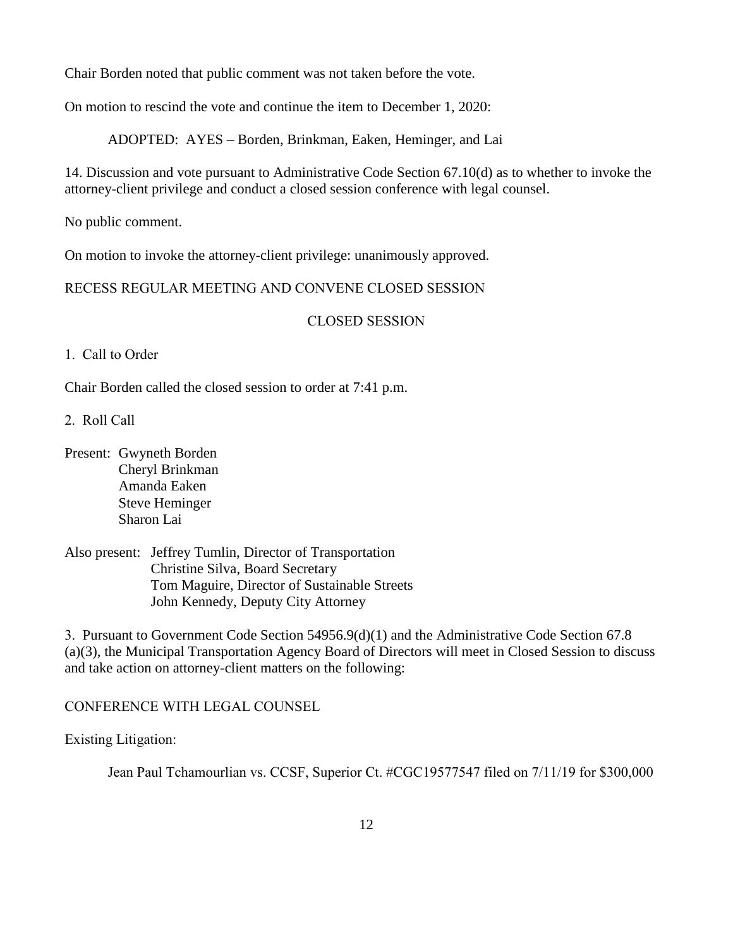Chair Borden noted that public comment was not taken before the vote.

On motion to rescind the vote and continue the item to December 1, 2020:

ADOPTED: AYES – Borden, Brinkman, Eaken, Heminger, and Lai

14. Discussion and vote pursuant to Administrative Code Section 67.10(d) as to whether to invoke the attorney-client privilege and conduct a closed session conference with legal counsel.

No public comment.

On motion to invoke the attorney-client privilege: unanimously approved.

RECESS REGULAR MEETING AND CONVENE CLOSED SESSION

### CLOSED SESSION

1. Call to Order

Chair Borden called the closed session to order at 7:41 p.m.

2. Roll Call

- Present: Gwyneth Borden Cheryl Brinkman Amanda Eaken Steve Heminger Sharon Lai
- Also present: Jeffrey Tumlin, Director of Transportation Christine Silva, Board Secretary Tom Maguire, Director of Sustainable Streets John Kennedy, Deputy City Attorney

3. Pursuant to Government Code Section 54956.9(d)(1) and the Administrative Code Section 67.8 (a)(3), the Municipal Transportation Agency Board of Directors will meet in Closed Session to discuss and take action on attorney-client matters on the following:

CONFERENCE WITH LEGAL COUNSEL

Existing Litigation:

Jean Paul Tchamourlian vs. CCSF, Superior Ct. #CGC19577547 filed on 7/11/19 for \$300,000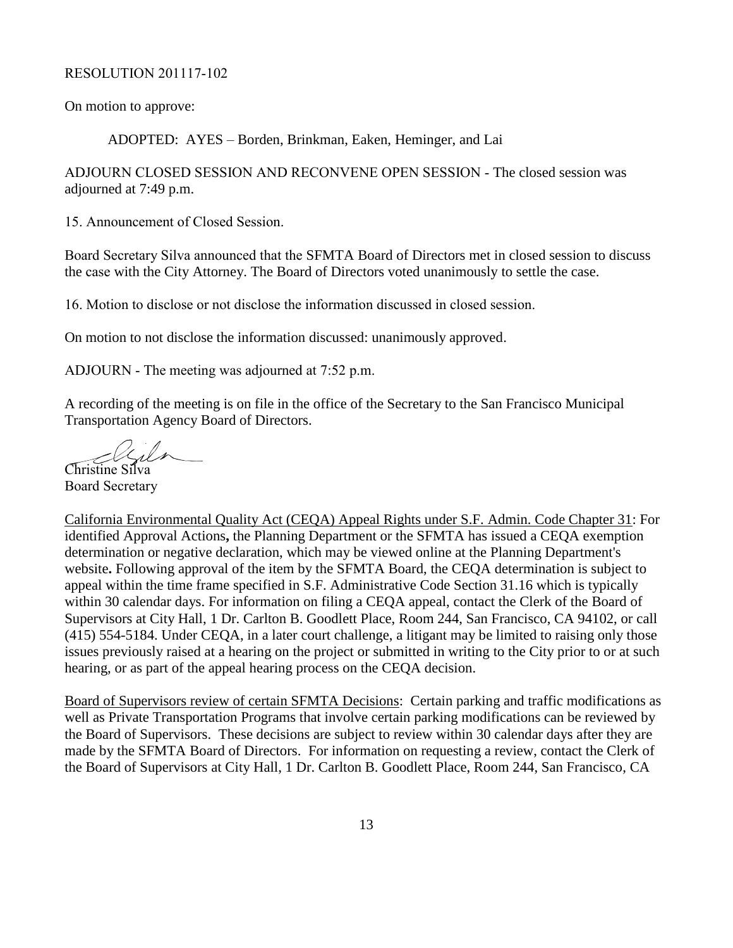#### RESOLUTION 201117-102

On motion to approve:

ADOPTED: AYES – Borden, Brinkman, Eaken, Heminger, and Lai

ADJOURN CLOSED SESSION AND RECONVENE OPEN SESSION - The closed session was adjourned at 7:49 p.m.

15. Announcement of Closed Session.

Board Secretary Silva announced that the SFMTA Board of Directors met in closed session to discuss the case with the City Attorney. The Board of Directors voted unanimously to settle the case.

16. Motion to disclose or not disclose the information discussed in closed session.

On motion to not disclose the information discussed: unanimously approved.

ADJOURN - The meeting was adjourned at 7:52 p.m.

A recording of the meeting is on file in the office of the Secretary to the San Francisco Municipal Transportation Agency Board of Directors.

Christine Silva

Board Secretary

California Environmental Quality Act (CEQA) Appeal Rights under S.F. Admin. Code Chapter 31: For identified Approval Actions**,** the Planning Department or the SFMTA has issued a CEQA exemption determination or negative declaration, which may be viewed online at the Planning Department's website**.** Following approval of the item by the SFMTA Board, the CEQA determination is subject to appeal within the time frame specified in S.F. Administrative Code Section 31.16 which is typically within 30 calendar days. For information on filing a CEQA appeal, contact the Clerk of the Board of Supervisors at City Hall, 1 Dr. Carlton B. Goodlett Place, Room 244, San Francisco, CA 94102, or call (415) 554-5184. Under CEQA, in a later court challenge, a litigant may be limited to raising only those issues previously raised at a hearing on the project or submitted in writing to the City prior to or at such hearing, or as part of the appeal hearing process on the CEQA decision.

Board of Supervisors review of certain SFMTA Decisions: Certain parking and traffic modifications as well as Private Transportation Programs that involve certain parking modifications can be reviewed by the Board of Supervisors. These decisions are subject to review within 30 calendar days after they are made by the SFMTA Board of Directors. For information on requesting a review, contact the Clerk of the Board of Supervisors at City Hall, 1 Dr. Carlton B. Goodlett Place, Room 244, San Francisco, CA